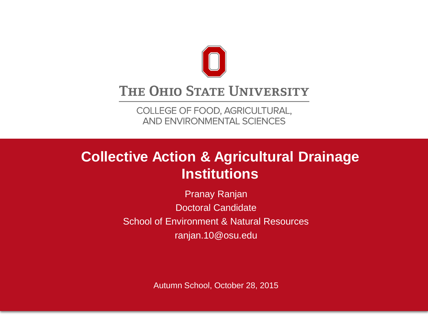

#### THE OHIO STATE UNIVERSITY

COLLEGE OF FOOD, AGRICULTURAL, AND ENVIRONMENTAL SCIENCES

### **Collective Action & Agricultural Drainage Institutions**

Pranay Ranjan Doctoral Candidate School of Environment & Natural Resources ranjan.10@osu.edu

Autumn School, October 28, 2015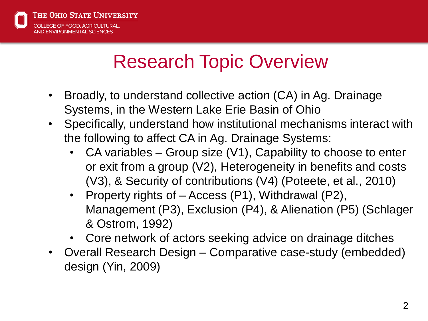

# Research Topic Overview

- Broadly, to understand collective action (CA) in Ag. Drainage Systems, in the Western Lake Erie Basin of Ohio
- Specifically, understand how institutional mechanisms interact with the following to affect CA in Ag. Drainage Systems:
	- CA variables Group size  $(V1)$ , Capability to choose to enter or exit from a group (V2), Heterogeneity in benefits and costs (V3), & Security of contributions (V4) (Poteete, et al., 2010)
	- Property rights of Access (P1), Withdrawal (P2), Management (P3), Exclusion (P4), & Alienation (P5) (Schlager & Ostrom, 1992)
	- Core network of actors seeking advice on drainage ditches
- Overall Research Design Comparative case-study (embedded) design (Yin, 2009)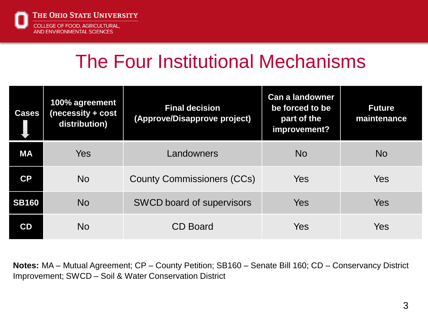

## The Four Institutional Mechanisms

| <b>Cases</b>           | 100% agreement<br>(necessity + cost<br>distribution) | <b>Final decision</b><br>(Approve/Disapprove project) | <b>Can a landowner</b><br>be forced to be<br>part of the<br>improvement? | <b>Future</b><br>maintenance |
|------------------------|------------------------------------------------------|-------------------------------------------------------|--------------------------------------------------------------------------|------------------------------|
| <b>MA</b>              | <b>Yes</b>                                           | Landowners                                            | <b>No</b>                                                                | <b>No</b>                    |
| $\mathsf{C}\mathsf{P}$ | <b>No</b>                                            | <b>County Commissioners (CCs)</b>                     | Yes                                                                      | <b>Yes</b>                   |
| <b>SB160</b>           | <b>No</b>                                            | <b>SWCD board of supervisors</b>                      | Yes                                                                      | Yes                          |
| CD                     | <b>No</b>                                            | <b>CD Board</b>                                       | Yes                                                                      | Yes                          |

**Notes:** MA – Mutual Agreement; CP – County Petition; SB160 – Senate Bill 160; CD – Conservancy District Improvement; SWCD – Soil & Water Conservation District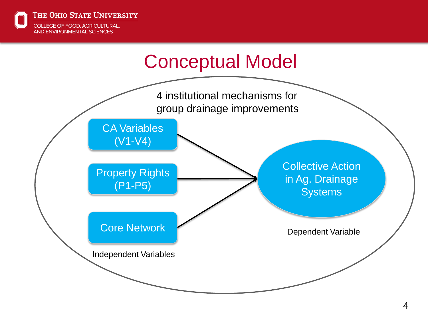